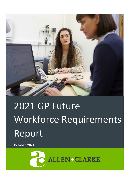

# 2021 GP Future Workforce Requirements Report

**October 2021**

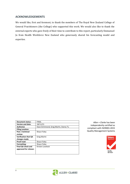# <span id="page-1-0"></span>**ACKNOWLEDGEMENTS**

We would like, first and foremost, to thank the members of The Royal New Zealand College of General Practitioners (the College) who supported this work. We would also like to thank the external experts who gave freely of their time to contribute to this report, particularly Emmanuel Jo from Health Workforce New Zealand who generously shared his forecasting model and expertise.

| Document status:            | <b>FINAL</b>                         |
|-----------------------------|--------------------------------------|
| <b>Version and date:</b>    | 18/11/21                             |
| Author(s):                  | Dave Grimmond, Greg Martin, Danny Tu |
| <b>Filing Location:</b>     |                                      |
| Peer / technical            | Shaun Foley                          |
| review:                     |                                      |
| <b>Verification that QA</b> | <b>Greg Martin</b>                   |
| changes made:               |                                      |
| Proof read:                 | Shaun Foley                          |
| Formatting:                 | Shaun Foley                          |
| Final QA check and          | Kirsten Lovelock                     |
| approved for release:       |                                      |
|                             |                                      |
|                             |                                      |

*Allen + Clarke* has been independently certified as compliant with ISO9001:2015 Quality Management Systems



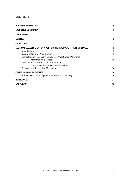# **CONTENTS**

| <b>ACKNOWLEDGEMENTS</b>                                              | $\mathbf{I}$ |
|----------------------------------------------------------------------|--------------|
| <b>EXECUTIVE SUMMARY</b>                                             | 1            |
| <b>KEY FINDINGS</b>                                                  | 3            |
| <b>CONTEXT</b>                                                       | 5            |
| <b>OBJECTIVES</b>                                                    | 5            |
| <b>ECONOMIC ASSESSMENT OF CASE FOR INCREASING GP TRAINING LEVELS</b> | 5            |
| Introduction                                                         | 5            |
| <b>Supply of General Practitioners</b>                               | 6            |
| Ethnic Inequity Issues in the General Practitioner Workforce         | 7            |
| More training is needed                                              | 10           |
| Demand for GP services and unmet need                                | 11           |
| Ethnic inequity in demand for GP services                            | 11           |
| Economics of increasing GP training                                  | 14           |
| <b>OTHER WORKFORCE ISSUES</b>                                        | 16           |
| Influence of choice of general practice as a specialty               | 16           |
| <b>REFERENCES</b>                                                    | 17           |
| <b>APPENDIX 1</b>                                                    | 18           |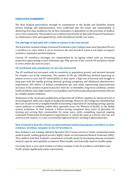## <span id="page-4-0"></span>**EXECUTIVE SUMMARY**

The New Zealand government, through its commitment to the Health and Disability System Review findings and implementation, have reaffirmed that the future and sustainability of delivering first class healthcare for all New Zealanders is dependent on the provision of medical care in the community. This medical care is delivered primarily by Specialist General Practitioners in collaboration with, and supported by, multi-disciplinary health care teams.

#### **The shortage of Specialist GPs is likely to worsen in the next decade**

The Royal New Zealand College of General Practitioners (the College) states that Specialist GPs are a workforce in crisis, which is set to worsen in the next decade if action is not taken to support workforce expansion and development.

Current GP workforce shortages are compounded by an ageing cohort with an increasing proportion approaching or past retirement age. Fifty percent of the current GP workforce intend to retire within the next ten years.

#### **GP workload and complexity of care has increased**

The GP workload has increased, with its sensitivity to population growth, and elevated demand for complex care in the community. The number of GPs per 100,000 has declined impacting on patient access to care, and GP vulnerability, as they report a high rate of burnout and struggle to keep pace with the rapidly growing demand, growing complexity and additional administrative expectations. GPs deliver 14 million consultations per year while experiencing unprecedented increases in the number of general practice visits for co-morbidity, long-term conditions, mental health problems, and a high number of young Māori and Pacific people disproportionately affected by complex health conditions.

Attainment of the vocational qualification of Specialist GP (Fellow) signifies an advanced level of broad diagnostic skills and a depth of medical knowledge. However, the College has identified that there are no perceived or tangible benefits to becoming a Specialist GP, including earning capacity, career pathway or standing within other specialist areas, the Ministry of Health, or the health system profession. In New Zealand, a Fellow having completed three years of Specialist GP training and serving their communities for many years, while completing required ongoing Continued Professional Development requirements, is valued the same as a doctor who has just arrived in the country, or a non-vocationally registered doctor working in generalpractice.

#### **New Zealand is heavily reliant on international medical graduates and there is clear evidence of ethnic inequity in the GPworkforce**

New Zealand is not training sufficient Specialist GPs to meet current or future community based medical needs, making general practice highly reliant on International Medical Graduates (IMG). This conflicts with New Zealand's commitment to health equity by developing whanau orientated medical capacity and capability to improve Māori health, and materially improve health equity.

Currently there is very stark evidence of ethnic inequity in the GP workforce, with Māori and Pacific people significantly under-represented.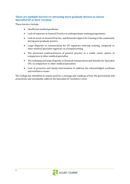# **There are multiple barriers to attracting more graduate doctors to choose Specialist GP as their vocation**.

These barriers include:

- Insufficient medical graduates
- Lack of exposure to General Practice in undergraduate training programmes
- Lack of access to General Practice, and financial support for training in the community during post graduate tenures
- Large disparity of remuneration for GP registrars entering training, compared to other medical specialist registrars in a hospital setting
- The perceived unattractiveness of general practice as a viable career option, in comparison to other medical specialties
- The widening and large disparity in financial remuneration and benefits for Specialist GPs, in comparison to other medical specialties
- Lack of proactive and timely interventions to address the acknowledged workload and workforce issues

The College has identified an urgent need for a strategy and roadmap of how the government will proactively and sustainably address the Specialist GP workforce crisis.

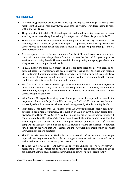# <span id="page-6-0"></span>**KEY FINDINGS**

- An increasing proportion of Specialist GPs are approaching retirement age. According to the most recent GP Workforce Survey (2020), half of the current GP workforce intend to retire within the next 10 years
- The proportion of Specialist GPs intending to retire within the next two years has increased steadily year on year, rising dramatically from 4 percent in 2014 to 14 percent in 2020.
- There is clear evidence of significant ethnic inequity in the existing GP workforce. GPs reporting a Māori (4 percent), or Pacific Peoples' (1.7 percent) ethnicity are present in the GP workforce at a much lower rate than is found in the general population (17 and 8.1 percent respectively).
- A recent upward trend in the total number of Specialist GPs masks concerning underlying trends that undermines the profession's ability to meet the demand for general practice services in the coming decade. These demands include a growing and ageing population and a large increase in complex health needs.
- In 2020, nearly one-third (31 percent) of GP respondents rated themselves 'high' on the burn-out scale. This percentage has been steadily increasing over the past four years. In 2016, 22 percent of respondents rated themselves as 'high' on the burn-out scale. Identified major causes of burn-out include increasing patient need (ageing, mental health, complex conditions), administrative burden, andunderfunding.
- Men dominate the profession at older ages, while women dominate at younger ages, so men more than women are likely to retire and exit the profession. In addition, the number of predominantly ageing male GPs traditionally are working longer hours per week than the GPs entering the workforce.
- With female GPs typically working fewer hours per week, the expected increase in the proportion of female GPs (up from 51% currently to 59% in 2031) means that the hours worked by GPs will increase at a slower rate than suggested by simply counting heads.
- Point estimates of numbers of Specialist GPs per 100,000 population are highly sensitive to population projection assumptions. The number of GPs per 100,000 New Zealanders is projected to fall from 74 in 2021 to 70 by 2031, and with a higher pace of population growth could potentially fall to below 66. In comparison the Australian Government Department of Health report the national 2020 GP rate per  $100,000$  population as  $116<sup>1</sup>$ . (Direct comparisons, however, should be made with caution as there are differences between jurisdictions in the ways data are collected, and the Australian data includes non-specialist GPs working in generalpractice).
- The 2019/2020 New Zealand Health Survey indicates that close to one million people reported that they were unable to obtain an appointment at their usual medical centre within 24 hours, at least once during the previous 12 months.
- The 2019/20 New Zealand Health survey also shows the unmet need for GP services varies across ethnic groups. Māori adults had the highest prevalence of being unable to get an appointment at their usual medical centre within 24 hours, which is significantly

<sup>1</sup> https://hwd.health.gov.au/resources/data/gp-primarycare.html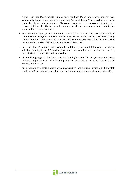higher than non-Māori adults. Unmet need for both Māori and Pacific children was significantly higher than non-Māori and non-Pacific children. The prevalence of being unable to get an appointment among Māori and Pacific adults have increased steadily yearon-year. Additionally, the inequity in demand for GP services among Māori adults has worsened in the past five years.

- With population ageing, increased mental health presentations, and increasing complexity of patient health needs, the proportion of high needs patients is likely to increase in the coming decade. Combined with increased Specialist GP retirements, the shortfall of GPs is expected to increase by a further 300 full time equivalent GPs by2031.
- Increasing the GP training intake from 200 to 300 per year from 2023 onwards would be sufficient to mitigate this GP shortfall, however there are substantial barriers to attracting more doctors to choose GP as their vocation.
- Our modelling suggests that increasing the training intake to 300 per year is potentially a minimum requirement in order for the profession to be able to meet the demand for GP services in the 2030s.
- An initial high level cost benefit analysis suggests that the benefits of avoiding a GP shortfall would yield \$4 of national benefit for every additional dollar spent on training extra GPs.

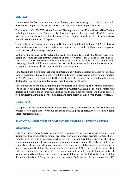# <span id="page-8-0"></span>**CONTEXT**

There is considerable uncertainty in the heath sector, with the ongoing impact of COVID-19 and the unknown impacts of the Health and Disability Systems Review implementation.

The most recent RNZCGP Workforce Survey (2020) suggest that the GP workforce in New Zealand is facing a looming crisis. There are high levels of reported burnout, and half of the current workforce intends to retire within the next ten years. Approximately a third of the workforce intends to retire in the next five years.

There is also an increasing trend, supported by the Health and Disability Report (2020), to devolve more healthcare services from secondary care to primary care, which will place an even greater service delivery burden on general practice.

Looking at the broader health system, the Health and Disability Report (2020) notes that Māori health outcomes are significantly worse than those for other New Zealanders and that this represents a failure of the health and disability system and does not reflect te Tiriti commitments. Designing a health and disability system that will produce better results in the future requires a recognition that change has to happen right across thesystem.

New Zealand has a significant reliance on internationally trained doctors and does not produce enough medical graduates to meet current demand across specialties, including general practice. COVID-19 border restrictions has further highlighted the reliance on internationally trained doctors, that has led to substantial gaps across the entire healthsector.

Does NZ need to be training or importing more doctors to meet emerging workforce challenges? The is clearly room for a policy debate to occur on whether NZ should be growing or importing doctors and what is the optimal mix. Existing health inequities for Māori (and Pacific peoples) would suggest that training more could address, to some extent, both equity and workforce issues.

## <span id="page-8-1"></span>**OBJECTIVES**

To explore options for the specialist General Practice (GP) workforce for the next 10 years and provide costed estimates for various scenarios, including the opportunity cost of not funding additional training places.

## <span id="page-8-2"></span>**ECONOMIC ASSESSMENT OF CASE FOR INCREASING GP TRAINING LEVELS**

#### <span id="page-8-3"></span>**Introduction**

This report investigates to what extent there is justification for increasing the current rate of training medical specialists in general practice. Fellowship in general practice is attained after completing three years as a general practice registrar, which in turn follows six years of medical school and a minimum of two years of prevocational medical training. Recently the College has attained a small increase in first year applicants to approximately 200 per annum entering general practice vocational training. The annual number of graduating GP Fellows is typically around 165- 170, interruptions, say for maternity reasons, mean that not all complete their specialist GP training within the minimum three-year advanced training period. The College has identified that the optimal intake of GP registrars needs to increase to 300 per year. A continuation of a 15%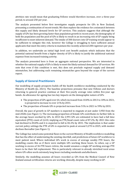attrition rate would mean that graduating Fellows would therefore increase, over a three-year period, to around 250 per year.

The analysis presented below first investigates supply prospects for GPs in New Zealand, presuming a continuation of recent trends. We then explore the evidence for a mismatch between this supply and likely demand levels for GP services. This analysis suggests that although the supply of GPs has been growing faster than population growth in recent years, the demography of both the population and the pool of GPs is likely to result in an increasing risk of GP supply being insufficient to meet inherent demand. The intake of 300 doctors into GP training would appear to be sufficient to mitigate this risk, however the College is struggling to have sufficient annual applicants that meet the entry criteria to maintain the recently achieved 200 registrars per year.

In addition, we undertake an initial high level cost benefit analysis which indicates that the potential national benefit from a higher density of GPs is likely to justify the additional national expense from increased training activity.

The analysis presented here is from an aggregate national perspective. We are interested in whether the national supply of GPs is likely to meet the likely national demand for GP services. We note that even if this condition is met, this does not preclude regional supply and demand mismatches, but addressing such remaining mismatches goes beyond the scope of the current report.

# <span id="page-9-0"></span>**Supply of General Practitioners**

Our modelling of supply prospects builds off the health workforce modelling conducted by the Ministry of Health (Jo, 2021). The baseline projections presume that new Fellows and doctors returning to general practice continue at their five-yearly average rates within five-year age bands. An allowance for ageing has two key impacts on the demographic nature of GPs:

- The proportion of GPs aged over 64, which increased from 10.8% in 2013 to 18% in 2021, is projected to increase to over 21% by 2031.
- The proportion of female GPs is projected increase from 51% in 2021 to 59% by2031.

Overall, the pace of growth in GP numbers is expected to stagnate at just under 3,950 from the mid-2020s (see [Figure 1\)](#page-11-0). The increasing proportion of female GPs contributes to further falls in the average hours worked by GPs. In 2013 the 2,991 GPs are estimated to have had a full time equivalent (FTE) count of 2,610, implying an FTE/head count ratio of 87.2%. By 2021 this ratio had declined to 84.8% and it is expected to fall to 82.2% by 2031. The implication is that under current policy settings the FTE of GPs is expected to peak at around 3,270 in 2025, with modest declines thereafter (see [Figure 1\)](#page-11-0).

The College has noted some potential flaws in the current Ministry of Health workforce modelling that has the effect of understating the existing shortfall, and predictions of future GP workforce to meet patient need. Where individual GPs work in excess of average weekly FTE hours, the modelling counts this as if there were multiple GPs working these hours. So when, say a GP working in excess of 36 FTE hours retires, the model assumes a single GP working average FTE hours to be their full replacement. This is particularly relevant in already stretched rural areas where GPs often work extremely long hours including weekends andafterhours.

Similarly, the modelling assumes all hours recorded as GPs from the Medical Council of New Zealand annual certification returns are working clinically, despite many working in GP-

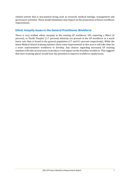related activity that is non-patient facing such as research, medical tutelage, management and governance activities. These model limitations may impact on the projections of future workforce requirements.

# <span id="page-10-0"></span>**Ethnic Inequity Issues in the General Practitioner Workforce**

There is very evident ethnic inequity in the existing GP workforce. GPs reporting a Māori (4 percent), or Pacific Peoples' (1.7 percent) ethnicity are present in the GP workforce at a much lower rate than is found in the general population (17 and 8.1 percent respectively). While the latest Medical School training statistics show some improvement in this area it will take time for a more representative workforce to develop. Any choices regarding increased GP training numbers will take several years to produce a real impact on the frontline workforce. This suggests that more training places would have the potential to improve workforce equityissues.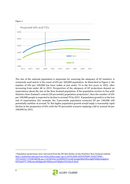<span id="page-11-0"></span>



The size of the national population is important for assessing the adequacy of GP numbers. A commonly used metric is the count of GPs per 100,000 population. As illustrated in [Figure 2,](#page-12-0) the number of GPs per 100,000 has been stable at just under 74 in the five years to 2021, after increasing from under 68 in 2013. Perspectives of the adequacy of GP projections depend on expectations about the size of the New Zealand population. If the population evolves in line with Statistics New Zealand's central (50 percentile) population projections<sup>2</sup>, then the number of GPs per 100,000 people is expected to decline to around 70 by 2031. If population growth is at the low end of expectations (for example, the 5-percentile population scenario) GP per 100,000 will potentially stabilise at around 76. But higher population growth would imply a reasonably rapid decline in the proportion of GPs, with the 95-percentile scenario implying a fall to around 66 per 100,000 by 2031.

<sup>&</sup>lt;sup>2</sup> Population projections were extracted from the NZ Stat facility on the Statistics New Zealand website: [http://nzdotstat.stats.govt.nz/wbos/index.aspx?\\_ga=2.267612686.1859429689.1630270583-](http://nzdotstat.stats.govt.nz/wbos/index.aspx?_ga=2.267612686.1859429689.1630270583-1951230447.1535854869&_gac=1.82382436.1628488595.CjwKCAjwgb6IBhAREiwAgMYKRlIpDxdgkEiclKTJ5mJUTT_FHKcmLe8blljgzskEr9KKLuxytCHFgRoCF3cQAvD_BwE) [1951230447.1535854869&\\_gac=1.82382436.1628488595.CjwKCAjwgb6IBhAREiwAgMYKRlIpDxdgkEicl](http://nzdotstat.stats.govt.nz/wbos/index.aspx?_ga=2.267612686.1859429689.1630270583-1951230447.1535854869&_gac=1.82382436.1628488595.CjwKCAjwgb6IBhAREiwAgMYKRlIpDxdgkEiclKTJ5mJUTT_FHKcmLe8blljgzskEr9KKLuxytCHFgRoCF3cQAvD_BwE) [KTJ5mJUTT\\_FHKcmLe8blljgzskEr9KKLuxytCHFgRoCF3cQAvD\\_BwE](http://nzdotstat.stats.govt.nz/wbos/index.aspx?_ga=2.267612686.1859429689.1630270583-1951230447.1535854869&_gac=1.82382436.1628488595.CjwKCAjwgb6IBhAREiwAgMYKRlIpDxdgkEiclKTJ5mJUTT_FHKcmLe8blljgzskEr9KKLuxytCHFgRoCF3cQAvD_BwE)

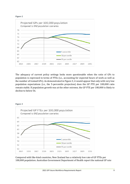#### <span id="page-12-0"></span>**Figure 2**



The adequacy of current policy settings looks more questionable when the ratio of GPs to population is expressed in terms of FTEs (i.e., accounting for expected hours of work as well as the number of trained GPs). As demonstrated in Figure 3, it would appear that only with very low population expectations (i.e., the 5-percentile projection) does the GP FTE per 100,000 ratio remain stable. If population growth was at the other extreme, the GP FTE per 100,000 is likely to decline to below 56.



Compared with like-kind countries, New Zealand has a relatively low rate of GP FTEs per 100,000 population. Australian Government Department of Health report the national GP rate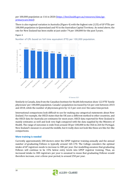## per 100,000 population as 116 in 2020 [\(https://hwd.health.gov.au/resources/data/gp](https://hwd.health.gov.au/resources/data/gp-primarycare.html)[primarycare.html\)](https://hwd.health.gov.au/resources/data/gp-primarycare.html)

There is also regional variation in Australia (Figure 4) with the highest rate (125) of GP FTEs per 100,000 population in Queensland and 93 in the Australian Capital Territory. As noted above, the rate for New Zealand has been stable at just under 74 per 100,000 for the past 5years.

#### **Figure 4**



Number of GPs based on full time equivalent (FTE) per 100,000 population.

C Statista 2021

Similarly in Canada, data from the Canadian Institute for Health Information show 122 FTE 'family physicians' per 100,000 population. Canada's population increased by 4.6 per cent between 2014 and 2018, while the number of physicians grew by 12.5 per cent over the same timeperiod.

International comparisons look difficult to use for making any categorical statements about New Zealand. For example, the OECD states that the UK uses a different method to other countries, and the OECD data for Australia are estimates for most years. OECD data reported for New Zealand is mainly estimates as well and look very high compared with the data supplied by the Ministry of Health. The range of outcomes is wide from around 30 per 100,000 in the USA to 264 for Portugal. New Zealand's measure is around the middle, but it really does not look like these are like-for-like comparisons.

## <span id="page-13-0"></span>**More training is needed**

Currently approximately 200 doctors enter the GPEP registrar training annually and the annual number of graduating Fellows is typically around 165-170. The College considers the optimal intake of GP registrars needs to increase to 300 per year. Our modelling assumes that graduating Fellows will continue to be 15% below entry levels into GPEP registrar training. Thus, an increased intake to 300 registrars per year is assumed to mean that graduating Fellows would therefore increase, over a three-year period, to around 250 per year.

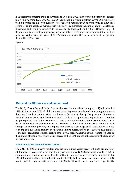If GP registrars entering training increased to 300 from 2023, then we would expect an increase in GP Fellows from 2026. By 2031, this 50% increase in GP training (from 200 to 300 registrars) would increase the expected number of GP Fellows practicing in 2031 from 3,940 to 4,380 (see [Figure](#page-14-2) ). The impact of a 25% increase in registrars (i.e., increasing the annual intake to 250) is also illustrated and would be expected to increase GP Fellows to 4,160 by 2031. However, we will demonstrate below that training rates below the College's 300 per year recommendation is likely to be associated with high risks of New Zealand not having the capacity to meet the growing demand for GP services.



<span id="page-14-2"></span>

# <span id="page-14-0"></span>**Demand for GP services and unmet need**

The 2019/20 New Zealand Health Survey (discussed in more detail in Appendix 1) indicates that 17% of children and 22% of adults reported that they were unable to obtain an appointment at their usual medical centre within 24 hours at least once during the previous 12 months. Extrapolating to population levels this would imply that a population equivalent to 1 million people reported that they were unable to obtain an appointment at their usual medical centre within 24 hours, at least once during the previous 12 months. Assuming that a FTE GP sees on average 23 patients per day, this implies that there is a shortage of at least 43,390 GP days. Working off a 230-day full time year, this would imply a current shortage of 188 GPs. This estimate of the current shortage is not reflective of the actual higher shortfall as the estimate is based on the number of people reporting a lack of access to their GP but does not account for the frequency of this happening.

#### <span id="page-14-1"></span>**Ethnic inequity in demand for GP services**

The 2019/20 NZHS survey's results show the unmet need varies across ethnicity group. Māori adults aged 15 years and over had the highest prevalence (29.2%) of being unable to get an appointment at their usual medical centre within 24 hours, which is equivalent to an estimated 140,000 Māori adults. A fifth of Pacific adults (19.6%) had the same experience in the past 12 months, which is equivalent to an estimated 50,000 Pacific adults. Māori adults were significantly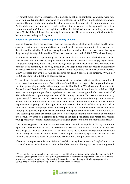(1.4 times) more likely to experience the inability to get an appointment compared with non-Māori adults, after adjusting for age and gender differences. Both Māori and Pacific children were significantly more likely to be unable to get an appointment compared with non-Māori and non-Pacific children. The time-series results indicate the prevalence of being unable to get an appointment within 24 hours among Māori and Pacific adults has increased steadily year-on-year since 2014/15. In addition, the inequity in demand for GP services among Māori adults has become worse in the past five years.

## **Population growth and increasing complexity of needs**

Moving forward there are concerns that the complexity of dealing with public health needs associated with an ageing population, increased burden of non-communicable diseases (e.g., diabetes, and heart failure), and increasing demand for mental health services are contributing to the growing intensity of demand for GP services, as described in the 2020 GP WorkforceSurvey.

Matching GP growth to population growth is not enough, it also has to match the hours that GPs are available and an increasing proportion of the population that have increasingly higher needs. The greater complexity of the issues faced by high needs patients means that there are likely to be benefits from continuity of care by Specialist GPs. High needs patients require substantially increased treatment time. The report 'Workforce and Resources for Future General Practice' (2019) assessed that while 5.5 GPs are required for 10,000 general need patients, 7.9 GPs per 10,000 are required to treat high needs patients.

To investigate the potential magnitude of changes in the needs of patients for the demand for GP services we develop a very simple "rule of thumb" model based on expected demographic changes and the general/high needs patient requirements identified in 'Workforce and Resources for Future General Practice' (2019). To operationalise these rules of thumb we have defined "high needs" as relating to the population aged 0-4 and over 64, to investigate the "excess capacity" of GPs under different population projection and GP training scenarios. This assumption is obviously a gross simplification but is used here in an attempt to capture potential demographic pressures on the demand for GP services relating to the greater likelihood of more intense medical requirements at young and older ages. Figure 6 presents the results of this analysis based on subtracting the baseline projection of fulltime equivalent GPs from the demand for GPs implied by applying the general/high needs rules of thumbs to the population make up of different Statistics New Zealand population projection scenarios3. We recognise that this simple model does not take into account evidence of a significant increase of younger populations and Māori and Pasifika young peoplewith complex health needs, including long term conditions and mental health issues.

This model suggests that demand for GP services exceeded the supply of GPs by an amount equivalent to 62 FTE GPs in 2013; this recovered to a surplus equivalent to 148 FTE GPs by 2018 but is projected to fall to a shortfall of 177 by 2031 (using the 50 percentile population projections and assuming no change in training levels). Strong population growth, equivalentto Statistics New Zealand's 95 percentile scenario could imply a shortfall of GPs equivalent to 400 FTEs.

Of course, this is just a simple "rule of thumb" model, so using the expressions "surplus" and "spare capacity" may be misleading as it is debatable if there is actually any spare capacity in general

<sup>3</sup>We accept that this approach represents a gross simplification on factors influencing the demand for GP services, ignoring many factors underpinning increases in the complexity of patient needs. In its favour it provides a relatively simple way of exploring the way that known demographic changes (population ageing) are potentially going to impact on the demand for GP services.

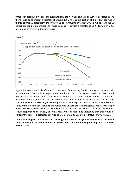practice at present. If we take the evidence from the New Zealand Health Survey discussed above, there could be at present a shortfall of around 200 GPs. The implication of this is that the rule of thumb approach potentially understates GP requirements by about 300. In which case the 50 percentile population projections would be consistent with a shortfall of 500 FTE GPs by 2031 (assuming no change in training rates).



**Figure 6**

[Figure](#page-17-1) 7 presents the "rule of thumb" assessment of increasing the GP training intake from 2023 to the Statistics New Zealand 50 percentile population scenario. As stated above, the rule of thumb model is not sufficiently robust to provide an accurate assessment of the extent that GP numbers match the demand for GP services, but we think that there is information in the direction of travel. This indicates that increasing the training intake to 250 registrars by 2023 would potentially be sufficient to slow the pace at which the demand for GP services is outstripping GPs ability to supply these services. An increase in the training intake to 300 per year from 2023 is likely to be a more robust response to the supply shortfall risk, with our modelling indicating that this would be sufficient to reverse a projected shortfall of 177 FTE GPs by 2031 to a "surplus" of 180 by 2031.

**This would suggestthatincreasing training intake to 300 per year is potentially a minimum requirement for the profession to be able to meet the demand for general practice services in the 2030s.**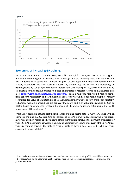#### <span id="page-17-1"></span>**Figure 7**



# <span id="page-17-0"></span>**Economics of increasing GP training**

So, what is the economics of undertaking extra GP training? A US study (Basu et al. 2019) suggests that counties with higher GP densities have lower age adjusted mortality rates than counties with low GP densities. In particular, 10 extra GPs per 100,000 population reduces the probability of cancer, respiratory and cardiovascular deaths by around 1%. We assess that increasing GP training levels by 100 per year is likely to increase the GP density per 100,000 in New Zealand by 6.5 relative to the baseline projection. Based on Institute for Health Metrics and Evaluation data (see [https://vizhub.healthdata.org/gbd-compare/\)](https://vizhub.healthdata.org/gbd-compare/) such a risk reduction would reduce deaths from cancers, respiratory and cardiovascular illnesses by around 30 per year. Using the Treasury recommended value of Statistical life of \$4.56m, implies the value to society from such mortality reductions would be around \$150m per year (with low and high valuations ranging \$100m to \$200m based on confidence levels on the impact of GPs on mortality and estimates of the health importance of these illnesses).

From a cost basis, we assume that the increase in training begins at the GPEP year 1 level, with an extra 100 training in 2023 resulting an increase of 85 GP Fellows in 2026 (allowing for apparent historical attrition rates). The fiscal costs of this extra training include the payment of salaries for year 1 GPEP1 placements as well as training and administrative costs of delivery of the GPEP three year programme through the College. This is likely to have a fiscal cost of \$10.4m per year, assumed to begin in 2023.<sup>4</sup>

<sup>4</sup>Our calculations are made on the basis that the alternative to extra training of GPs would be training in other specialties. So, no allowance has been made here for increases in medical school enrolments and graduate numbers.

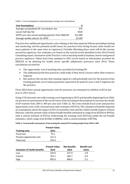**Table 1: Cost assumptions underpinning training cost calculations**

| <b>Cost Assumptions</b>                           |          |
|---------------------------------------------------|----------|
| Average unsubsidised GP consultation fee          | \$73     |
| Locum half day fee                                | \$518    |
| GPEP1 pro rata annual posting payment from RNZCGP | \$12,300 |
| Average weekly salaries for GPEP                  | \$3,100  |

Practices face additional opportunity costs relating to the time spent by Fellows providing training and mentoring, and the potential profit losses for practices from hiring locums (who would see more patients in the same time as registrars). Partially offsetting these costs will be the income earned by registrars. Our estimates are based on the activity levels identified in the 2016 Powell Consulting report, *Evaluation of the Practice's role in teachingmedicalstudents, interns and general practice registrars.* Values have been updated to 2021 levels based on information provided by RNZCGP or by allowing for health sector specific inflationary pressures since 2016. These calculations account for:

- The opportunity cost of teaching time provided by hosting GPs
- The additional profit that practices could make if they hired a locum rather than trained a registrar
- But subtract the income that training registrars will potentially earn for the practice from treating patients, net of salary payments expected to be paid for year 2 and 3 registrars by the practice.

From 2026 these annual opportunity costs for practices are estimated to stabilise at \$21m per year in 2021 prices.

Using a 5% discount rate with training costs beginning in 2023 and benefits beginning from 2026, we present an assessment of the social return from investing in the proposal to increase the intake of GP trainees from 200 to 300 per year (see [Table 2\)](#page-18-0). The costs include fiscal costs and practice opportunity costs, with a total present value estimate of \$191m. The valuation of benefits depends on assumptions about the impact of GPs on mortality rates and the relative health impacts of these illnesses, with the present value of these health benefits estimated to range from \$529m to \$992m, with a central estimate of \$761m. Subtracting the training costs (\$191m) yields the net benefit estimates, which range from \$338m to \$800m, with a central estimate of\$570m.

<span id="page-18-0"></span>**Table 2: Cost-benefit assessment of increasing the annual GP training intake from 200 to 300**

|                           | <b>Present Value</b> |
|---------------------------|----------------------|
| <b>Training costs</b>     | (Sm)                 |
| Fiscal cost               | 70.1                 |
| Practice opportunity cost | 121.3                |
| Total cost                | 191.4                |

|                              | <b>Present Value</b> | <b>Net benefits</b> | <b>Benefit cost</b> |
|------------------------------|----------------------|---------------------|---------------------|
| Valuation of health benefits | (\$m)                | (\$m)               | ratios              |
| Low                          | 529.4                | 337.9               | 2.8                 |
| Central                      | 761.1                | 569.7               | 4.0                 |
| High                         | 992.0                | 800.6               | 5.2                 |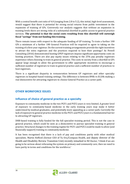With a central benefit cost ratio of 4.0 (ranging from 2.8 to 5.2), this initial, high-level assessment, would suggest that there is potential for strong social returns from public investment in the expansion of training of GPs. Conversely our analysis suggests that without an expansion in training levels there are strong risks of a substantial shortfall in public access to general practice services. **The potential is that the social costs resulting from this shortfall will outweigh fiscal "savings" from not funding this training.**

There remain issues with respect to the adequate funding of GP training. To train a further 100 GPs a minimum of a further 100 General Practices will be required to agree to taking on the training of a first-year registrar.Do the current training arrangements provide the right incentives to attract the extra registrars and the practices required to host their postings? As Powell Consulting (2016) demonstrated hosting GPEP registrars impose significant opportunity costs on hosting practices. There are also pay equity issues relating to the 25% pay penalty registrars experience when choosing to train in general practice. The costs to society from a shortfall in GPs appear large enough to allow the government to offer appropriate incentives to encourage a sufficient number of registrars to train in general practice and a sufficient number of practices to host registrars.

There is a significant disparity in remuneration between GP registrars and other specialty registrars in hospital-based training settings. The difference is between \$90k vs \$120k making a real disincentive for attracting registrars to choose General Practice as a career path.

# <span id="page-19-0"></span>**OTHER WORKFORCE ISSUES**

# <span id="page-19-1"></span>**Influence of choice of general practice as a specialty**

Exposure to community medicine in the two PGY1 and PGY2 years is very limited. A greater level of exposure to community-based medicine in the early training years may make it better understood by medical graduates, and potentially more appealing as a career path. Currently the lack of exposure to general practice medicine in the PGY1 and PGY2 years is a fundamental barrier to attracting GP registrars.

DHB-based training is fully funded for the full specialist training period. This is not the case in general practice, which could be seen as a disincentive to pursue specialist training in general practice. Structural changes to the training regime for PGY1 and PGY2 could be made to allow (and financially support) training in communitymedicine.

It has been recognised that there is a lack of pay and conditions parity with other medical specialists. Martin Hefford (former CEO of Tu Ora/Compass Health, and deputy director of the Health and Disability Review Transition Unit) recently remarked in NZ Doctor, 'I think if we are going to be serious about refocusing the system on primary and community care, then we need to have parity in terms and conditions for the workforce.'

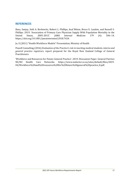## <span id="page-20-0"></span>**REFERENCES**

Basu, Sanjay, Seth A. Berkowitz, Robert L. Phillips, Asaf Bitton, Bruce E. Landon, and Russell S. Phillips. 2019. 'Association of Primary Care Physician Supply With Population Mortality in the United States, 2005-2015'. *JAMA Internal Medicine* 179 (4): 506–14. https://doi.org/10.1001/jamainternmed.2018.7624.

Jo, E (2021) "Health Workforce Models" Presentation, Ministry of Health

Powell Consulting (2016) *Evaluation of the Practice's role in teaching medical students, interns and general practice registrars,* report prepared for the Royal New Zealand College of General Practitioners

'Workforce and Resources for Future General Practice'. 2019. Discussion Paper. General Parctice NZ/NZ Health Care Networks. https:/[/www.nzdoctor.co.nz/sites/default/files/2019-](http://www.nzdoctor.co.nz/sites/default/files/2019-) 04/Workforce%20and%20resources%20for%20future%20general%20practice\_0.pdf.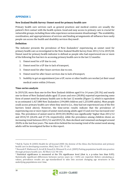# <span id="page-21-0"></span>**APPENDIX 1**

## **New Zealand Health Survey: Unmet need for primary health care**

Primary health care services such as general practices and medical centres are usually the patient's first contact with the health system. Good and easy access to primary care is crucial for vulnerable groups, including those who experience socioeconomic disadvantage5. The availability, coordination, and appropriateness of services and funding arrangements all influence how easily people can access the health and disability services they need<sup>6</sup>.

## **Definition**

The indicator presents the prevalence of New Zealanders' experiencing an unmet need for primary health care as investigated in the New Zealand Health Survey from 2011/12 to 2019/20. Unmet need for primary health indicator is defined as people who had experienced one or more of the following five barriers to accessing primary health care in the last 12 months:

- 1. Unmet need for a GP due to cost,
- 2. Unmet need for a GP due to lack of transport,
- 3. Unmet need for after-hours services due to cost,
- 4. Unmet need for after-hours services due to lack oftransport,
- 5. Inability to get an appointment(see a GP, nurse or other health care worker) at their usual medical centre within 24 hours.

#### **Time-series analysis**

In 2019/20, more than one-in-five New Zealand children aged 0 to 14 years (20.1%) and nearly one-in-three of New Zealand adults aged 15 years and over (30.8%) reported experiencing some form of unmet need for primary health care in the last 12 months (Figure 1), which is equivalent to an estimated 1,427,000 New Zealanders (194,000 children and 1,233,000 adults). Most people could access primary health care when they need to (i.e., they had not experienced any of the five barriers listed above). However, the time-series results indicate that the prevalence of experiencing one or more types of unmet need among adults aged 15 and over has increased over time. The prevalence of unmet need in 2019/20 (30.8%) was significantly7 higher than 2011/12 and 2014/15 (26.6% and 27.1% respectively), while the prevalence among children shows an increasing trend between 2011/12 and 2015/16, then declined and remained unchanged around 20.0% in the last four years. The main drive behind the increasing trend of the unmet need among adults will be investigated further in this report.

<sup>7</sup>Statistical significance is measured at the 5% significance level (that is, a p-value less than 0.05). Statistically significant differences between survey years ( $p < 0.05$ ) are reported. Before calculating pvalues, prevalence results are age-standardised to take into account changing age structures in the underlying populations over time.



<sup>5</sup>Hall JJ, Taylor R (2003) Health for all beyond 2000: the demise of the Alma-Ata Declaration and primary health care in developing countries. *Med J Aust* 178: 17-20.

<sup>6</sup> Neuwelt P, Matheson D, Arroll B, Dowell A, Winnard D, et al.(2009) Putting population health into practice through primary health care. *NZ Med J* 122:98-104.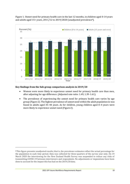

Figure 1. Unmet need for primary health care in the last 12 months, in children aged 0-14 years and adults aged 15+ years, 2011/12 to 2019/2020 (unadjusted prevalence8).

#### **Key findings from the Sub-group comparison analysis in 2019/20**

- Women were more likely to experience unmet need for primary health care than men, after adjusting for age difference. (Adjusted rate ratio: 1.49, 1.39-1.61).
- The prevalence of experiencing the unmet need for primary health care varies by age group (Figure 2). The highest prevalence of unmet need within the adult population in was found in adults aged 35–44 years. As for children, young children aged 0–4 years were more likely to experience unmet need (Figure 2).

<sup>8</sup>This figure presents unadjusted results; that is, the prevalence estimates reflect the actual percentage for the population in each time period. Data was collected for three-quarters of the survey year only. On 19 March 2020 the interviewing for the New Zealand Health Survey was suspended to reduce any risks of transmitting COVID-19 between interviewers and respondents. No adjustments or imputations have been done to account for the impact this has had on the 2019/20 data.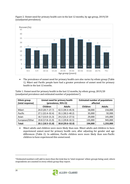

Figure 2. Unmet need for primary health care in the last 12 months, by age group, 2019/20 (unadjusted prevalence).

• The prevalence of unmet need for primary health care also varies by ethnic group (Table 1). Māori and Pacific people have had a greater prevalence of unmet need for primary health in the last 12 months.

Table 1. Unmet need for primary health in the last 12 months, by ethnic group, 2019/20 (unadjusted prevalence and estimated number of populations9).

| <b>Ethnic group</b><br>(total response) | Unmet need for primary health<br>(prevalence, 95% CI) |                  | <b>Estimated number of populations</b><br>affected |               |
|-----------------------------------------|-------------------------------------------------------|------------------|----------------------------------------------------|---------------|
|                                         | Children                                              | <b>Adults</b>    | Children                                           | <b>Adults</b> |
| Māori                                   | 24.0 (20.7-27.7)                                      | 42.5 (39.3-45.9) | 58,000                                             | 216,000       |
| Pacific                                 | 27.1 (22.4-32.4)                                      | 35.1 (30.2-40.2) | 35,000                                             | 92,000        |
| Asian                                   | $16.7(13.0 - 21.3)$                                   | 24.2 (21.2-27.5) | 29,000                                             | 141,000       |
| European/Other                          | 19.8 (17.8-21.9)                                      | 31.1 (29.8-32.5) | 135,000                                            | 945,000       |
| Total:                                  | 20.1 (18.5-21.8)                                      | 30.8 (29.6-32.0) |                                                    | 1,233,000     |

• Māori adults and children were more likely than non- Māori adults and children to have experienced unmet need for primary health care, after adjusting for gender and age differences (Table 2). In addition, Pacific children were more likely than non-Pacific children to have experienced this unmet need.

<sup>9</sup>Estimated numbers will add to more than the total due to 'total response' ethnic groups being used, where respondents are counted in every ethnic group they report.

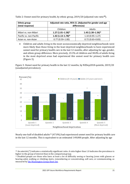| <b>Ethnic group</b><br>(total response) | Adjusted rate ratio, 95% CI. (Adjusted for gender and age<br>differences) |                     |  |
|-----------------------------------------|---------------------------------------------------------------------------|---------------------|--|
|                                         | Children                                                                  | <b>Adults</b>       |  |
| Māori vs. non-Māori                     | $1.27(1.01 - 1.58)*$                                                      | $1.43(1.30-1.56)$ * |  |
| Pacific vs. non-Pacific                 | $1.42$ (1.13-1.78)*                                                       | $1.10(0.95 - 1.27)$ |  |
| Asian vs. non-Asian                     | $0.77(0.59 - 1.00)$                                                       | $0.72(0.63 - 0.83)$ |  |

Table 2: Unmet need for primary health, by ethnic group, 2019/20 (adjusted rate ratio**<sup>10</sup>**).

• Children and adults living in the most socioeconomically deprived neighbourhoods were more likely than those living in the least deprived neighbourhoods to have experienced unmet need for primary health care in the last 12 months, after adjusting for age, gender, and ethnic group difference. More precisely, 23.3% of children and 38.0% of adults living in the most deprived areas had experienced this unmet need for primary health care (Figure 3).

Figure 3. Unmet need for primary health in the last 12 months, by NZDep2018 quintile, 2019/20 (unadjusted prevalence).



Nearly one-half of disabled adults<sup>11</sup> (47.0%) had experienced unmet need for primary health care in the last 12 months. This is equivalent to an estimated 149,000 people. After adjusting by age

<sup>10</sup> An asterisk (\*) indicates a statistically significant ratio. A ratio higher than 1.0 indicates the prevalence is higher in the group of interest than in the comparisongroup.

<sup>&</sup>lt;sup>11</sup> Disabled people are those who have at least a lot of difficulty seeing or hearing (even with glasses or hearing aids), walking or climbing stairs, remembering or concentrating, self-care, or communicating, as measured by [the Washington Group Short Set.](https://www.washingtongroup-disability.com/)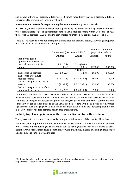and gender difference, disabled adults were 1.8 times more likely than non-disabled adults to experience the unmet need for primary health.

## **Most common reasons for experiencing the unmet need for primary health**

In 2019/20, the most common reasons for experiencing the unmet need for primary health care were: being unable to get an appointment at their usual medical centre within 24 hours (21.9%), the cost of GP services (13.3%) and the cost of after-hours medical centres (6.1%) (Table 3).

Table 3. The reasons for experiencing the unmet need for primary health, 2019/20 (unadjusted prevalence and estimated number of populations<sup>12</sup>).

|                                                            | Unmet need (prevalence, 95% CI) |                | Estimated number of<br>populations affected |         |
|------------------------------------------------------------|---------------------------------|----------------|---------------------------------------------|---------|
|                                                            | Children                        | Adults         | Children                                    | Adults  |
| Inability to get an<br>appointment at their usual          |                                 |                |                                             |         |
| medical centre within 24                                   | $17.1(15.5 -$                   | $21.9(20.8 -$  |                                             |         |
| hours                                                      | 18.9                            | 23.1)          | 162,000                                     | 836,000 |
|                                                            |                                 | 13.3 (12.4-    |                                             |         |
| The cost of GP services                                    | $1.6(1.0-2.6)$                  | 14.3)          | 16,000                                      | 535,000 |
| The cost of after-hours                                    |                                 |                |                                             |         |
| medical centres                                            | $1.6(1.1-2.3)$                  | $6.1(5.5-6.8)$ | 16,000                                      | 246,000 |
| Lack of transport to access GP                             |                                 |                |                                             |         |
| service                                                    | $1.6(1.1-2.2)$                  | $2.7(2.3-3.1)$ | 15,000                                      | 108,000 |
| Lack of transport to visit after-<br>hours medical centres | $1.0(0.6-1.5)$                  | $1.0(0.8-1.3)$ | 9,000                                       | 40,000  |

Let's investigate the time-series prevalence results of the five barriers of the unmet need for primary health care individually. We can find that unlike the other four barriers, which have remained unchanged or decreased slightly over time, the prevalence of the most common reason - inability to get an appointment at the usual medical centre within 24 hours has increased significantly over time (Figure 4). This is also the main drive behind the increasing trend of the indicator - unmet need for primary health care among adults.

## **Inability to get an appointment at the usual medical centre within 24 hours**

Timely access to care when it is needed is an important dimension of the quality of health care.

Unable to get an appointment at the usual medical centre within 24 hours is defined for children 0 to 14 years old or adults aged 15 years and over as having wanted to see a GP, nurse, or other health care worker at their usual medical centre within the next 24 hours but being unable to get an appointment, in the past 12 months.

 $12$  Estimated numbers will add to more than the total due to 'total response' ethnic groups being used, where respondents are counted in every ethnic group they report.

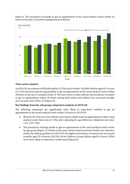

Figure 4. The prevalence of unable to get an appointment at the usual medical centre within 24 hours in the past 12 months (unadjusted prevalence).

#### **Time-series analysis**

In 2019/20, an estimate of 836,000 adults (21.9%) and a further 162,000 children aged 0-14 years (17.1%) reported experiencing inability to get an appointment at the usual medical centre within 24 hours in the last 12 months (Table 3). The time-series results indicate the prevalence of unable to get an appointment within 24 hours among both adults and children has increased steadily year-on-year since 2011/12 (Figure 4).

#### **Key findings from the sub-group comparison analysis in 2019/20**

The following subgroups are significantly more likely to experience inability to get an appointment at the usual medical centre within 24 hours in 2019/20:

- Women (26.2%) were more likely to have been unable to get an appointment at their usual medical centre than men (17.2%), after adjusting for age difference. (Adjusted rate ratio: 1.53, 1.39-1.69).
- The prevalence of being unable to get an appointment at the usual medical centre varies by age group (Figure 5). Similar to the main unmet need for primary health care indicator, within the adult population in 2019/20, the highest prevalence of unmet need was found in adults aged 35–44 years (26.2%). As for children, young children aged 0–4 years (20%) were more likely to experience unmet need (Figure5).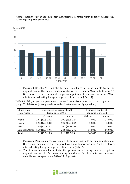

Figure 5. Inability to get an appointment at the usual medical centre within 24 hours, by age group, 2019/20 (unadjusted prevalence).

• Māori adults (29.2%) had the highest prevalence of being unable to get an appointment at their usual medical centre within 24 hours. Māori adults were 1.4 times more likely to be unable to get an appointment compared with non-Māori adults, after adjusting for age and gender differences. (Table 4).

Table 4. Inability to get an appointment at the usual medical centre within 24 hours, by ethnic group, 2019/20 (unadjusted prevalence and estimated number of populations).

| Ethnic group     | Unmet need for primary health<br>(prevalence, 95% CI) |                     | Estimated number of  |         |
|------------------|-------------------------------------------------------|---------------------|----------------------|---------|
| (total response) |                                                       |                     | populations affected |         |
|                  | Children                                              | Adults              | Children             | Adults  |
| Māori            | 20.7 (17.6-24.2)                                      | 29.2 (26.3-32.4)    | 49,000               | 140,000 |
| Pacific          | 22.3 (17.5-28.0)                                      | 19.6 (15.8-23.9)    | 28,000               | 50,000  |
| Asian            | 13.9 (10.4-18.3)                                      | $16.1(13.3 - 19.4)$ | 23,000               | 84,000  |
| European/Other   | $16.9(15.0-19.1)$                                     | 22.9 (21.6-24.2)    | 114,000              | 669,000 |
| Total:           | $17.1(15.5 - 18.9)$                                   | 21.9 (20.8-23.1)    |                      | 836,000 |

- Māori and Pacific children were more likely to be unable to get an appointment at their usual medical centre compared with non-Māori and non-Pacific children, after adjusting for age and gender differences (Table 5).
- The time-series results indicate the prevalence of being unable to get an appointment within 24 hours among Māori and Pacific adults has increased steadily year-on-year since 2014/15 (Figure 6).

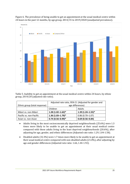

Figure 6. The prevalence of being unable to get an appointment at the usual medical centre within 24 hours in the past 12 months, by age group, 2014/15 to 2019/2020 (unadjusted prevalence).

Table 5. Inability to get an appointment at the usual medical centre within 24 hours, by ethnic group, 2019/20 (adjusted rate ratio).

|                               | Adjusted rate ratio, 95% CI. (Adjusted for gender and |                      |  |
|-------------------------------|-------------------------------------------------------|----------------------|--|
| Ethnic group (total response) | age differences)                                      |                      |  |
|                               | Children                                              | Adults               |  |
| Māori vs. non-Māori           | $1.28(1.02 - 1.62)^*$                                 | $1.39(1.24 - 1.55)*$ |  |
| Pacific vs. non-Pacific       | $1.36(1.03 - 1.79)^*$                                 | $0.86(0.70 - 1.07)$  |  |
| Asian vs. non-Asian           | $0.74(0.56 - 0.99)*$                                  | $0.69(0.56 - 0.84)$  |  |

- Adults living in the most socioeconomically deprived neighbourhoods (25.6%) were 1.3 times more likely to be unable to get an appointment at their usual medical centre compared with those adults living in the least deprived neighbourhoods (20.6%), after adjusting for age, gender, and ethnic differences (Adjusted rate ratio: 1.29,1.04-1.58).
- Disabled adults (32.3%) were 1.7 times more likely to be unable to get an appointment at their usual medical centre compared with non-disabled adults (21.0%), after adjusting by age and gender differences (Adjusted rate ratio: 1.66, 1.44-1.92).